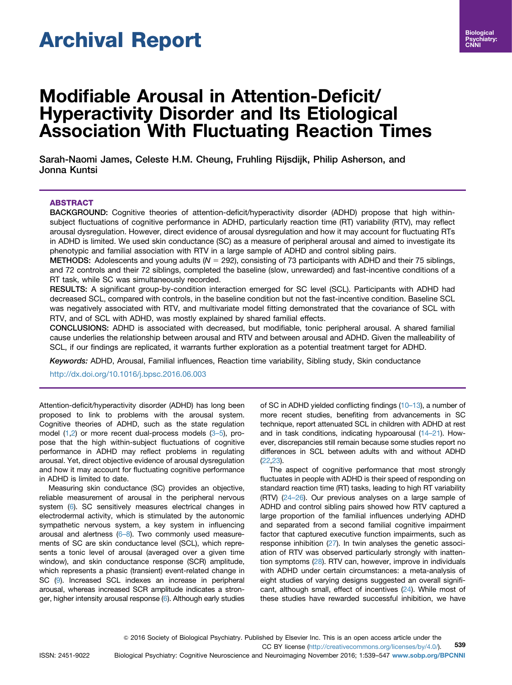# Archival Report

# Modifiable Arousal in Attention-Deficit/ Hyperactivity Disorder and Its Etiological Association With Fluctuating Reaction Times

Sarah-Naomi James, Celeste H.M. Cheung, Fruhling Rijsdijk, Philip Asherson, and Jonna Kuntsi

# ABSTRACT

BACKGROUND: Cognitive theories of attention-deficit/hyperactivity disorder (ADHD) propose that high withinsubject fluctuations of cognitive performance in ADHD, particularly reaction time (RT) variability (RTV), may reflect arousal dysregulation. However, direct evidence of arousal dysregulation and how it may account for fluctuating RTs in ADHD is limited. We used skin conductance (SC) as a measure of peripheral arousal and aimed to investigate its phenotypic and familial association with RTV in a large sample of ADHD and control sibling pairs.

METHODS: Adolescents and young adults  $(N = 292)$ , consisting of 73 participants with ADHD and their 75 siblings, and 72 controls and their 72 siblings, completed the baseline (slow, unrewarded) and fast-incentive conditions of a RT task, while SC was simultaneously recorded.

RESULTS: A significant group-by-condition interaction emerged for SC level (SCL). Participants with ADHD had decreased SCL, compared with controls, in the baseline condition but not the fast-incentive condition. Baseline SCL was negatively associated with RTV, and multivariate model fitting demonstrated that the covariance of SCL with RTV, and of SCL with ADHD, was mostly explained by shared familial effects.

CONCLUSIONS: ADHD is associated with decreased, but modifiable, tonic peripheral arousal. A shared familial cause underlies the relationship between arousal and RTV and between arousal and ADHD. Given the malleability of SCL, if our findings are replicated, it warrants further exploration as a potential treatment target for ADHD.

Keywords: ADHD, Arousal, Familial influences, Reaction time variability, Sibling study, Skin conductance <http://dx.doi.org/10.1016/j.bpsc.2016.06.003>

Attention-deficit/hyperactivity disorder (ADHD) has long been proposed to link to problems with the arousal system. Cognitive theories of ADHD, such as the state regulation model [\(1,2](#page-6-0)) or more recent dual-process models (3–[5](#page-6-0)), propose that the high within-subject fluctuations of cognitive performance in ADHD may reflect problems in regulating arousal. Yet, direct objective evidence of arousal dysregulation and how it may account for fluctuating cognitive performance in ADHD is limited to date.

Measuring skin conductance (SC) provides an objective, reliable measurement of arousal in the peripheral nervous system [\(6](#page-6-0)). SC sensitively measures electrical changes in electrodermal activity, which is stimulated by the autonomic sympathetic nervous system, a key system in influencing arousal and alertness [\(6](#page-6-0)–8). Two commonly used measurements of SC are skin conductance level (SCL), which represents a tonic level of arousal (averaged over a given time window), and skin conductance response (SCR) amplitude, which represents a phasic (transient) event-related change in SC [\(9\)](#page-6-0). Increased SCL indexes an increase in peripheral arousal, whereas increased SCR amplitude indicates a stronger, higher intensity arousal response ([6](#page-6-0)). Although early studies of SC in ADHD yielded conflicting findings (10–[13\)](#page-6-0), a number of more recent studies, benefiting from advancements in SC technique, report attenuated SCL in children with ADHD at rest and in task conditions, indicating hypoarousal ([14](#page-6-0)–21). However, discrepancies still remain because some studies report no differences in SCL between adults with and without ADHD ([22,23](#page-7-0)).

The aspect of cognitive performance that most strongly fluctuates in people with ADHD is their speed of responding on standard reaction time (RT) tasks, leading to high RT variability (RTV) (24–[26\)](#page-7-0). Our previous analyses on a large sample of ADHD and control sibling pairs showed how RTV captured a large proportion of the familial influences underlying ADHD and separated from a second familial cognitive impairment factor that captured executive function impairments, such as response inhibition [\(27\)](#page-7-0). In twin analyses the genetic association of RTV was observed particularly strongly with inattention symptoms ([28](#page-7-0)). RTV can, however, improve in individuals with ADHD under certain circumstances: a meta-analysis of eight studies of varying designs suggested an overall significant, although small, effect of incentives ([24\)](#page-7-0). While most of these studies have rewarded successful inhibition, we have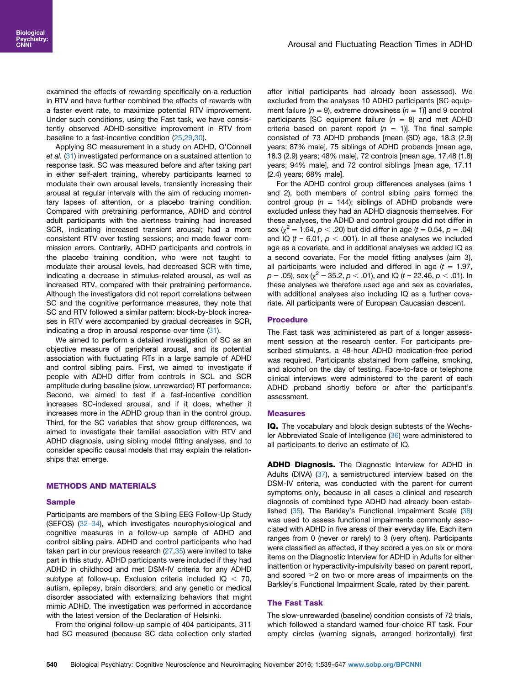examined the effects of rewarding specifically on a reduction in RTV and have further combined the effects of rewards with a faster event rate, to maximize potential RTV improvement. Under such conditions, using the Fast task, we have consistently observed ADHD-sensitive improvement in RTV from baseline to a fast-incentive condition ([25](#page-7-0),[29,30\)](#page-7-0).

Applying SC measurement in a study on ADHD, O'Connell et al. [\(31\)](#page-7-0) investigated performance on a sustained attention to response task. SC was measured before and after taking part in either self-alert training, whereby participants learned to modulate their own arousal levels, transiently increasing their arousal at regular intervals with the aim of reducing momentary lapses of attention, or a placebo training condition. Compared with pretraining performance, ADHD and control adult participants with the alertness training had increased SCR, indicating increased transient arousal; had a more consistent RTV over testing sessions; and made fewer commission errors. Contrarily, ADHD participants and controls in the placebo training condition, who were not taught to modulate their arousal levels, had decreased SCR with time, indicating a decrease in stimulus-related arousal, as well as increased RTV, compared with their pretraining performance. Although the investigators did not report correlations between SC and the cognitive performance measures, they note that SC and RTV followed a similar pattern: block-by-block increases in RTV were accompanied by gradual decreases in SCR, indicating a drop in arousal response over time ([31](#page-7-0)).

We aimed to perform a detailed investigation of SC as an objective measure of peripheral arousal, and its potential association with fluctuating RTs in a large sample of ADHD and control sibling pairs. First, we aimed to investigate if people with ADHD differ from controls in SCL and SCR amplitude during baseline (slow, unrewarded) RT performance. Second, we aimed to test if a fast-incentive condition increases SC-indexed arousal, and if it does, whether it increases more in the ADHD group than in the control group. Third, for the SC variables that show group differences, we aimed to investigate their familial association with RTV and ADHD diagnosis, using sibling model fitting analyses, and to consider specific causal models that may explain the relationships that emerge.

# METHODS AND MATERIALS

# Sample

Participants are members of the Sibling EEG Follow-Up Study (SEFOS) [\(32](#page-7-0)–34), which investigates neurophysiological and cognitive measures in a follow-up sample of ADHD and control sibling pairs. ADHD and control participants who had taken part in our previous research [\(27,35](#page-7-0)) were invited to take part in this study. ADHD participants were included if they had ADHD in childhood and met DSM-IV criteria for any ADHD subtype at follow-up. Exclusion criteria included  $IQ < 70$ , autism, epilepsy, brain disorders, and any genetic or medical disorder associated with externalizing behaviors that might mimic ADHD. The investigation was performed in accordance with the latest version of the Declaration of Helsinki.

From the original follow-up sample of 404 participants, 311 had SC measured (because SC data collection only started

after initial participants had already been assessed). We excluded from the analyses 10 ADHD participants [SC equipment failure ( $n = 9$ ), extreme drowsiness ( $n = 1$ )] and 9 control participants [SC equipment failure  $(n = 8)$  and met ADHD criteria based on parent report  $(n = 1)$ ]. The final sample consisted of 73 ADHD probands [mean (SD) age, 18.3 (2.9) years; 87% male], 75 siblings of ADHD probands [mean age, 18.3 (2.9) years; 48% male], 72 controls [mean age, 17.48 (1.8) years; 94% male], and 72 control siblings [mean age, 17.11 (2.4) years; 68% male].

For the ADHD control group differences analyses (aims 1 and 2), both members of control sibling pairs formed the control group ( $n = 144$ ); siblings of ADHD probands were excluded unless they had an ADHD diagnosis themselves. For these analyses, the ADHD and control groups did not differ in sex ( $\chi^2$  = 1.64,  $p < .20$ ) but did differ in age (t = 0.54, p = .04) and IQ ( $t = 6.01$ ,  $p < .001$ ). In all these analyses we included age as a covariate, and in additional analyses we added IQ as a second covariate. For the model fitting analyses (aim 3), all participants were included and differed in age  $(t = 1.97,$  $p = .05$ ), sex ( $\chi^2 = 35.2$ ,  $p < .01$ ), and IQ (t = 22.46,  $p < .01$ ). In these analyses we therefore used age and sex as covariates, with additional analyses also including IQ as a further covariate. All participants were of European Caucasian descent.

# **Procedure**

The Fast task was administered as part of a longer assessment session at the research center. For participants prescribed stimulants, a 48-hour ADHD medication-free period was required. Participants abstained from caffeine, smoking, and alcohol on the day of testing. Face-to-face or telephone clinical interviews were administered to the parent of each ADHD proband shortly before or after the participant's assessment.

#### Measures

IQ. The vocabulary and block design subtests of the Wechsler Abbreviated Scale of Intelligence [\(36\)](#page-7-0) were administered to all participants to derive an estimate of IQ.

ADHD Diagnosis. The Diagnostic Interview for ADHD in Adults (DIVA) ([37](#page-7-0)), a semistructured interview based on the DSM-IV criteria, was conducted with the parent for current symptoms only, because in all cases a clinical and research diagnosis of combined type ADHD had already been established [\(35\)](#page-7-0). The Barkley's Functional Impairment Scale [\(38\)](#page-7-0) was used to assess functional impairments commonly associated with ADHD in five areas of their everyday life. Each item ranges from 0 (never or rarely) to 3 (very often). Participants were classified as affected, if they scored a yes on six or more items on the Diagnostic Interview for ADHD in Adults for either inattention or hyperactivity-impulsivity based on parent report, and scored  $\geq$  on two or more areas of impairments on the Barkley's Functional Impairment Scale, rated by their parent.

# The Fast Task

The slow-unrewarded (baseline) condition consists of 72 trials, which followed a standard warned four-choice RT task. Four empty circles (warning signals, arranged horizontally) first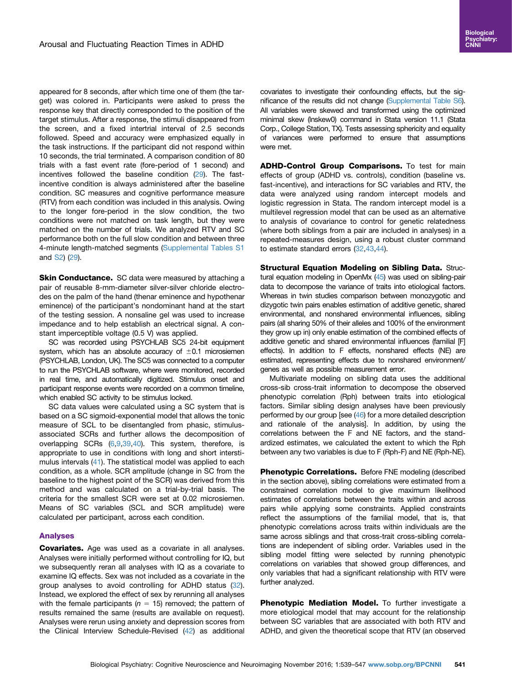appeared for 8 seconds, after which time one of them (the target) was colored in. Participants were asked to press the response key that directly corresponded to the position of the target stimulus. After a response, the stimuli disappeared from the screen, and a fixed intertrial interval of 2.5 seconds followed. Speed and accuracy were emphasized equally in the task instructions. If the participant did not respond within 10 seconds, the trial terminated. A comparison condition of 80 trials with a fast event rate (fore-period of 1 second) and incentives followed the baseline condition [\(29](#page-7-0)). The fastincentive condition is always administered after the baseline condition. SC measures and cognitive performance measure (RTV) from each condition was included in this analysis. Owing to the longer fore-period in the slow condition, the two conditions were not matched on task length, but they were matched on the number of trials. We analyzed RTV and SC performance both on the full slow condition and between three 4-minute length-matched segments [\(Supplemental Tables S1](#page-6-0) and [S2](#page-6-0)) ([29\)](#page-7-0).

**Skin Conductance.** SC data were measured by attaching a pair of reusable 8-mm-diameter silver-silver chloride electrodes on the palm of the hand (thenar eminence and hypothenar eminence) of the participant's nondominant hand at the start of the testing session. A nonsaline gel was used to increase impedance and to help establish an electrical signal. A constant imperceptible voltage (0.5 V) was applied.

SC was recorded using PSYCHLAB SC5 24-bit equipment system, which has an absolute accuracy of  $\pm 0.1$  microsiemen (PSYCHLAB, London, UK). The SC5 was connected to a computer to run the PSYCHLAB software, where were monitored, recorded in real time, and automatically digitized. Stimulus onset and participant response events were recorded on a common timeline, which enabled SC activity to be stimulus locked.

SC data values were calculated using a SC system that is based on a SC sigmoid-exponential model that allows the tonic measure of SCL to be disentangled from phasic, stimulusassociated SCRs and further allows the decomposition of overlapping SCRs [\(6,9,](#page-6-0)[39](#page-7-0),[40](#page-7-0)). This system, therefore, is appropriate to use in conditions with long and short interstimulus intervals [\(41\)](#page-7-0). The statistical model was applied to each condition, as a whole. SCR amplitude (change in SC from the baseline to the highest point of the SCR) was derived from this method and was calculated on a trial-by-trial basis. The criteria for the smallest SCR were set at 0.02 microsiemen. Means of SC variables (SCL and SCR amplitude) were calculated per participant, across each condition.

# Analyses

**Covariates.** Age was used as a covariate in all analyses. Analyses were initially performed without controlling for IQ, but we subsequently reran all analyses with IQ as a covariate to examine IQ effects. Sex was not included as a covariate in the group analyses to avoid controlling for ADHD status ([32](#page-7-0)). Instead, we explored the effect of sex by rerunning all analyses with the female participants ( $n = 15$ ) removed; the pattern of results remained the same (results are available on request). Analyses were rerun using anxiety and depression scores from the Clinical Interview Schedule-Revised [\(42\)](#page-7-0) as additional

covariates to investigate their confounding effects, but the significance of the results did not change ([Supplemental Table S6\)](#page-6-0). All variables were skewed and transformed using the optimized minimal skew (lnskew0) command in Stata version 11.1 (Stata Corp., College Station, TX). Tests assessing sphericity and equality of variances were performed to ensure that assumptions were met.

ADHD-Control Group Comparisons. To test for main effects of group (ADHD vs. controls), condition (baseline vs. fast-incentive), and interactions for SC variables and RTV, the data were analyzed using random intercept models and logistic regression in Stata. The random intercept model is a multilevel regression model that can be used as an alternative to analysis of covariance to control for genetic relatedness (where both siblings from a pair are included in analyses) in a repeated-measures design, using a robust cluster command to estimate standard errors [\(32,43](#page-7-0),[44](#page-7-0)).

Structural Equation Modeling on Sibling Data. Structural equation modeling in OpenMx ([45\)](#page-7-0) was used on sibling-pair data to decompose the variance of traits into etiological factors. Whereas in twin studies comparison between monozygotic and dizygotic twin pairs enables estimation of additive genetic, shared environmental, and nonshared environmental influences, sibling pairs (all sharing 50% of their alleles and 100% of the environment they grow up in) only enable estimation of the combined effects of additive genetic and shared environmental influences (familial [F] effects). In addition to F effects, nonshared effects (NE) are estimated, representing effects due to nonshared environment/ genes as well as possible measurement error.

Multivariate modeling on sibling data uses the additional cross-sib cross-trait information to decompose the observed phenotypic correlation (Rph) between traits into etiological factors. Similar sibling design analyses have been previously performed by our group [see [\(46\)](#page-7-0) for a more detailed description and rationale of the analysis]. In addition, by using the correlations between the F and NE factors, and the standardized estimates, we calculated the extent to which the Rph between any two variables is due to F (Rph-F) and NE (Rph-NE).

Phenotypic Correlations. Before FNE modeling (described in the section above), sibling correlations were estimated from a constrained correlation model to give maximum likelihood estimates of correlations between the traits within and across pairs while applying some constraints. Applied constraints reflect the assumptions of the familial model, that is, that phenotypic correlations across traits within individuals are the same across siblings and that cross-trait cross-sibling correlations are independent of sibling order. Variables used in the sibling model fitting were selected by running phenotypic correlations on variables that showed group differences, and only variables that had a significant relationship with RTV were further analyzed.

Phenotypic Mediation Model. To further investigate a more etiological model that may account for the relationship between SC variables that are associated with both RTV and ADHD, and given the theoretical scope that RTV (an observed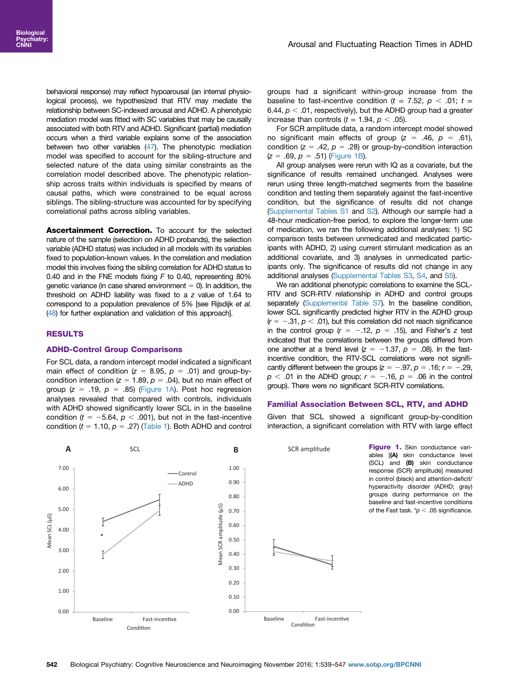behavioral response) may reflect hypoarousal (an internal physiological process), we hypothesized that RTV may mediate the relationship between SC-indexed arousal and ADHD. A phenotypic mediation model was fitted with SC variables that may be causally associated with both RTV and ADHD. Significant (partial) mediation occurs when a third variable explains some of the association between two other variables [\(47\)](#page-7-0). The phenotypic mediation model was specified to account for the sibling-structure and selected nature of the data using similar constraints as the correlation model described above. The phenotypic relationship across traits within individuals is specified by means of causal paths, which were constrained to be equal across siblings. The sibling-structure was accounted for by specifying correlational paths across sibling variables.

Ascertainment Correction. To account for the selected nature of the sample (selection on ADHD probands), the selection variable (ADHD status) was included in all models with its variables fixed to population-known values. In the correlation and mediation model this involves fixing the sibling correlation for ADHD status to 0.40 and in the FNE models fixing  $F$  to 0.40, representing 80% genetic variance (in case shared environment  $= 0$ ). In addition, the threshold on ADHD liability was fixed to a z value of 1.64 to correspond to a population prevalence of 5% [see Rijsdijk et al. [\(48\)](#page-7-0) for further explanation and validation of this approach].

# RESULTS

#### ADHD-Control Group Comparisons

For SCL data, a random intercept model indicated a significant main effect of condition ( $z = 8.95$ ,  $p = .01$ ) and group-bycondition interaction ( $z = 1.89$ ,  $p = .04$ ), but no main effect of group ( $z = .19$ ,  $p = .85$ ) (Figure 1A). Post hoc regression analyses revealed that compared with controls, individuals with ADHD showed significantly lower SCL in in the baseline condition ( $t = -5.64$ ,  $p < .001$ ), but not in the fast-incentive condition ( $t = 1.10$ ,  $p = .27$ ) ([Table 1](#page-4-0)). Both ADHD and control groups had a significant within-group increase from the baseline to fast-incentive condition ( $t = 7.52$ ,  $p < .01$ ;  $t =$ 6.44,  $p < .01$ , respectively), but the ADHD group had a greater increase than controls ( $t = 1.94$ ,  $p < .05$ ).

For SCR amplitude data, a random intercept model showed no significant main effects of group  $(z = .46, p = .61)$ , condition ( $z = .42$ ,  $p = .28$ ) or group-by-condition interaction  $(z = .69, p = .51)$  (Figure 1B).

All group analyses were rerun with IQ as a covariate, but the significance of results remained unchanged. Analyses were rerun using three length-matched segments from the baseline condition and testing them separately against the fast-incentive condition, but the significance of results did not change ([Supplemental Tables S1](#page-6-0) and [S2](#page-6-0)). Although our sample had a 48-hour medication-free period, to explore the longer-term use of medication, we ran the following additional analyses: 1) SC comparison tests between unmedicated and medicated participants with ADHD, 2) using current stimulant medication as an additional covariate, and 3) analyses in unmedicated participants only. The significance of results did not change in any additional analyses ([Supplemental Tables S3](#page-6-0), [S4](#page-6-0), and [S5](#page-6-0)).

We ran additional phenotypic correlations to examine the SCL-RTV and SCR-RTV relationship in ADHD and control groups separately [\(Supplemental Table S7\)](#page-6-0). In the baseline condition, lower SCL significantly predicted higher RTV in the ADHD group  $(r = -.31, p < .01)$ , but this correlation did not reach significance in the control group  $(r = -.12, p = .15)$ , and Fisher's z test indicated that the correlations between the groups differed from one another at a trend level  $(z = -1.37, p = .08)$ . In the fastincentive condition, the RTV-SCL correlations were not significantly different between the groups  $(z = -.97, p = .16; r = -.29,$  $p < .01$  in the ADHD group;  $r = -.16$ ,  $p = .06$  in the control group). There were no significant SCR-RTV correlations.

#### Familial Association Between SCL, RTV, and ADHD

Given that SCL showed a significant group-by-condition interaction, a significant correlation with RTV with large effect

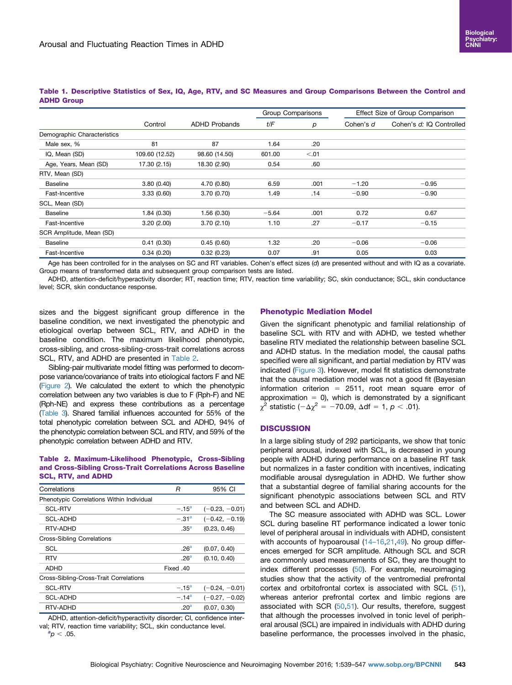|                             | Control        | <b>ADHD Probands</b> | Group Comparisons |        | Effect Size of Group Comparison |                          |
|-----------------------------|----------------|----------------------|-------------------|--------|---------------------------------|--------------------------|
|                             |                |                      | t/F               | р      | Cohen's d                       | Cohen's d: IQ Controlled |
| Demographic Characteristics |                |                      |                   |        |                                 |                          |
| Male sex, %                 | 81             | 87                   | 1.64              | .20    |                                 |                          |
| IQ, Mean (SD)               | 109.60 (12.52) | 98.60 (14.50)        | 601.00            | < 0.01 |                                 |                          |
| Age, Years, Mean (SD)       | 17.30 (2.15)   | 18.30 (2.90)         | 0.54              | .60    |                                 |                          |
| RTV, Mean (SD)              |                |                      |                   |        |                                 |                          |
| <b>Baseline</b>             | 3.80(0.40)     | 4.70 (0.80)          | 6.59              | .001   | $-1.20$                         | $-0.95$                  |
| Fast-Incentive              | 3.33(0.60)     | 3.70 (0.70)          | 1.49              | .14    | $-0.90$                         | $-0.90$                  |
| SCL, Mean (SD)              |                |                      |                   |        |                                 |                          |
| <b>Baseline</b>             | 1.84(0.30)     | 1.56(0.30)           | $-5.64$           | .001   | 0.72                            | 0.67                     |
| Fast-Incentive              | 3.20(2.00)     | 3.70(2.10)           | 1.10              | .27    | $-0.17$                         | $-0.15$                  |
| SCR Amplitude, Mean (SD)    |                |                      |                   |        |                                 |                          |
| <b>Baseline</b>             | 0.41(0.30)     | 0.45(0.60)           | 1.32              | .20    | $-0.06$                         | $-0.06$                  |
| Fast-Incentive              | 0.34(0.20)     | 0.32(0.23)           | 0.07              | .91    | 0.05                            | 0.03                     |

# <span id="page-4-0"></span>Table 1. Descriptive Statistics of Sex, IQ, Age, RTV, and SC Measures and Group Comparisons Between the Control and ADHD Group

Age has been controlled for in the analyses on SC and RT variables. Cohen's effect sizes (d) are presented without and with IQ as a covariate. Group means of transformed data and subsequent group comparison tests are listed.

ADHD, attention-deficit/hyperactivity disorder; RT, reaction time; RTV, reaction time variability; SC, skin conductance; SCL, skin conductance level; SCR, skin conductance response.

sizes and the biggest significant group difference in the baseline condition, we next investigated the phenotypic and etiological overlap between SCL, RTV, and ADHD in the baseline condition. The maximum likelihood phenotypic, cross-sibling, and cross-sibling-cross-trait correlations across SCL, RTV, and ADHD are presented in Table 2.

Sibling-pair multivariate model fitting was performed to decompose variance/covariance of traits into etiological factors F and NE [\(Figure 2](#page-5-0)). We calculated the extent to which the phenotypic correlation between any two variables is due to F (Rph-F) and NE (Rph-NE) and express these contributions as a percentage [\(Table 3\)](#page-5-0). Shared familial influences accounted for 55% of the total phenotypic correlation between SCL and ADHD, 94% of the phenotypic correlation between SCL and RTV, and 59% of the phenotypic correlation between ADHD and RTV.

## Table 2. Maximum-Likelihood Phenotypic, Cross-Sibling and Cross-Sibling Cross-Trait Correlations Across Baseline SCL, RTV, and ADHD

| Correlations                              | R                | 95% CI           |
|-------------------------------------------|------------------|------------------|
| Phenotypic Correlations Within Individual |                  |                  |
| <b>SCL-RTV</b>                            | $-.15^{a}$       | $(-0.23, -0.01)$ |
| <b>SCL-ADHD</b>                           | $-.31^a$         | $(-0.42, -0.19)$ |
| RTV-ADHD                                  | .35 <sup>a</sup> | (0.23, 0.46)     |
| <b>Cross-Sibling Correlations</b>         |                  |                  |
| SCL                                       | .26 <sup>a</sup> | (0.07, 0.40)     |
| <b>RTV</b>                                | .26 <sup>a</sup> | (0.10, 0.40)     |
| <b>ADHD</b>                               | Fixed .40        |                  |
| Cross-Sibling-Cross-Trait Correlations    |                  |                  |
| <b>SCL-RTV</b>                            | $-.15^{a}$       | $(-0.24, -0.01)$ |
| <b>SCL-ADHD</b>                           | $-.14^{a}$       | $(-0.27, -0.02)$ |
| RTV-ADHD                                  | .20 <sup>a</sup> | (0.07, 0.30)     |
| $\overline{a}$                            | $\sim$           |                  |

ADHD, attention-deficit/hyperactivity disorder; CI, confidence interval; RTV, reaction time variability; SCL, skin conductance level.  ${}^{a}p$  < .05.

## Phenotypic Mediation Model

Given the significant phenotypic and familial relationship of baseline SCL with RTV and with ADHD, we tested whether baseline RTV mediated the relationship between baseline SCL and ADHD status. In the mediation model, the causal paths specified were all significant, and partial mediation by RTV was indicated ([Figure 3\)](#page-5-0). However, model fit statistics demonstrate that the causal mediation model was not a good fit (Bayesian information criterion  $= 2511$ , root mean square error of approximation  $= 0$ ), which is demonstrated by a significant  $\chi^2$  statistic (- $\Delta \chi^2$  = -70.09,  $\Delta df = 1, p < .01$ ).

# **DISCUSSION**

In a large sibling study of 292 participants, we show that tonic peripheral arousal, indexed with SCL, is decreased in young people with ADHD during performance on a baseline RT task but normalizes in a faster condition with incentives, indicating modifiable arousal dysregulation in ADHD. We further show that a substantial degree of familial sharing accounts for the significant phenotypic associations between SCL and RTV and between SCL and ADHD.

The SC measure associated with ADHD was SCL. Lower SCL during baseline RT performance indicated a lower tonic level of peripheral arousal in individuals with ADHD, consistent with accounts of hypoarousal [\(14](#page-6-0)–16,[21,49\)](#page-6-0). No group differences emerged for SCR amplitude. Although SCL and SCR are commonly used measurements of SC, they are thought to index different processes ([50](#page-7-0)). For example, neuroimaging studies show that the activity of the ventromedial prefrontal cortex and orbitofrontal cortex is associated with SCL [\(51\)](#page-7-0), whereas anterior prefrontal cortex and limbic regions are associated with SCR ([50,51\)](#page-7-0). Our results, therefore, suggest that although the processes involved in tonic level of peripheral arousal (SCL) are impaired in individuals with ADHD during baseline performance, the processes involved in the phasic,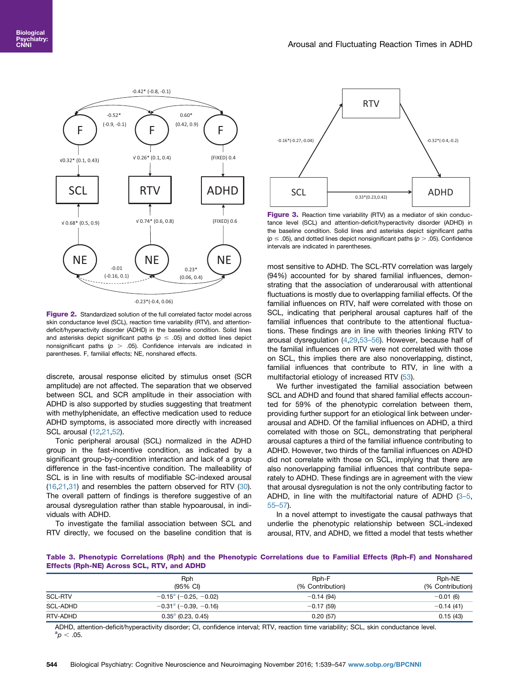<span id="page-5-0"></span>

Figure 2. Standardized solution of the full correlated factor model across skin conductance level (SCL), reaction time variability (RTV), and attentiondeficit/hyperactivity disorder (ADHD) in the baseline condition. Solid lines and asterisks depict significant paths ( $p \le .05$ ) and dotted lines depict nonsignificant paths ( $p > .05$ ). Confidence intervals are indicated in parentheses. F, familial effects; NE, nonshared effects.

discrete, arousal response elicited by stimulus onset (SCR amplitude) are not affected. The separation that we observed between SCL and SCR amplitude in their association with ADHD is also supported by studies suggesting that treatment with methylphenidate, an effective medication used to reduce ADHD symptoms, is associated more directly with increased SCL arousal ([12](#page-6-0),[21,52\)](#page-7-0).

Tonic peripheral arousal (SCL) normalized in the ADHD group in the fast-incentive condition, as indicated by a significant group-by-condition interaction and lack of a group difference in the fast-incentive condition. The malleability of SCL is in line with results of modifiable SC-indexed arousal [\(16,](#page-6-0)[21](#page-7-0),[31\)](#page-7-0) and resembles the pattern observed for RTV ([30](#page-7-0)). The overall pattern of findings is therefore suggestive of an arousal dysregulation rather than stable hypoarousal, in individuals with ADHD.

To investigate the familial association between SCL and RTV directly, we focused on the baseline condition that is



Figure 3. Reaction time variability (RTV) as a mediator of skin conductance level (SCL) and attention-deficit/hyperactivity disorder (ADHD) in the baseline condition. Solid lines and asterisks depict significant paths  $(p \le .05)$ , and dotted lines depict nonsignificant paths ( $p > .05$ ). Confidence intervals are indicated in parentheses.

most sensitive to ADHD. The SCL-RTV correlation was largely (94%) accounted for by shared familial influences, demonstrating that the association of underarousal with attentional fluctuations is mostly due to overlapping familial effects. Of the familial influences on RTV, half were correlated with those on SCL, indicating that peripheral arousal captures half of the familial influences that contribute to the attentional fluctuations. These findings are in line with theories linking RTV to arousal dysregulation [\(4](#page-6-0)[,29,](#page-7-0)53–[56\)](#page-7-0). However, because half of the familial influences on RTV were not correlated with those on SCL, this implies there are also nonoverlapping, distinct, familial influences that contribute to RTV, in line with a multifactorial etiology of increased RTV [\(53\)](#page-7-0).

We further investigated the familial association between SCL and ADHD and found that shared familial effects accounted for 59% of the phenotypic correlation between them, providing further support for an etiological link between underarousal and ADHD. Of the familial influences on ADHD, a third correlated with those on SCL, demonstrating that peripheral arousal captures a third of the familial influence contributing to ADHD. However, two thirds of the familial influences on ADHD did not correlate with those on SCL, implying that there are also nonoverlapping familial influences that contribute separately to ADHD. These findings are in agreement with the view that arousal dysregulation is not the only contributing factor to ADHD, in line with the multifactorial nature of ADHD (3–[5,](#page-6-0) 55–[57\)](#page-6-0).

In a novel attempt to investigate the causal pathways that underlie the phenotypic relationship between SCL-indexed arousal, RTV, and ADHD, we fitted a model that tests whether

Table 3. Phenotypic Correlations (Rph) and the Phenotypic Correlations due to Familial Effects (Rph-F) and Nonshared Effects (Rph-NE) Across SCL, RTV, and ADHD

|                | Rph                      | Rph-F            | Rph-NE           |  |  |
|----------------|--------------------------|------------------|------------------|--|--|
|                | (95% CI)                 | (% Contribution) | (% Contribution) |  |  |
| <b>SCL-RTV</b> | $-0.15^a$ (-0.25, -0.02) | $-0.14(94)$      | $-0.01(6)$       |  |  |
| SCL-ADHD       | $-0.31a$ (-0.39, -0.16)  | $-0.17(59)$      | $-0.14(41)$      |  |  |
| RTV-ADHD       | $0.35^a$ (0.23, 0.45)    | 0.20(57)         | 0.15(43)         |  |  |

ADHD, attention-deficit/hyperactivity disorder; CI, confidence interval; RTV, reaction time variability; SCL, skin conductance level.  ${}^{a}p < .05$ .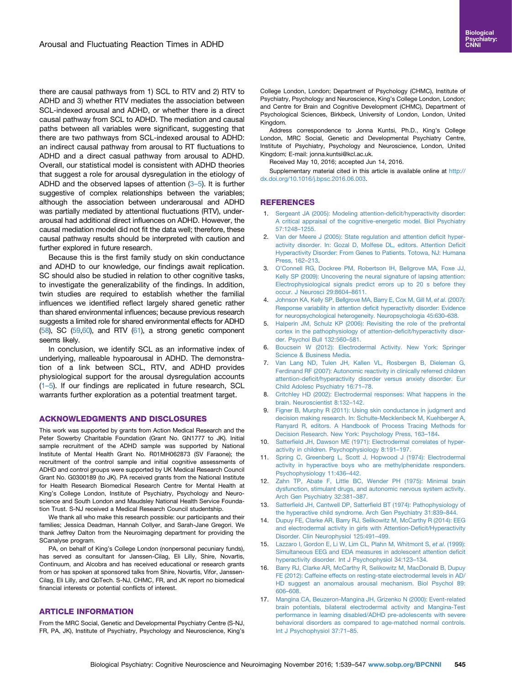<span id="page-6-0"></span>there are causal pathways from 1) SCL to RTV and 2) RTV to ADHD and 3) whether RTV mediates the association between SCL-indexed arousal and ADHD, or whether there is a direct causal pathway from SCL to ADHD. The mediation and causal paths between all variables were significant, suggesting that there are two pathways from SCL-indexed arousal to ADHD: an indirect causal pathway from arousal to RT fluctuations to ADHD and a direct casual pathway from arousal to ADHD. Overall, our statistical model is consistent with ADHD theories that suggest a role for arousal dysregulation in the etiology of ADHD and the observed lapses of attention  $(3-5)$ . It is further suggestive of complex relationships between the variables; although the association between underarousal and ADHD was partially mediated by attentional fluctuations (RTV), underarousal had additional direct influences on ADHD. However, the causal mediation model did not fit the data well; therefore, these causal pathway results should be interpreted with caution and further explored in future research.

Because this is the first family study on skin conductance and ADHD to our knowledge, our findings await replication. SC should also be studied in relation to other cognitive tasks, to investigate the generalizability of the findings. In addition, twin studies are required to establish whether the familial influences we identified reflect largely shared genetic rather than shared environmental influences; because previous research suggests a limited role for shared environmental effects for ADHD [\(58\)](#page-8-0), SC [\(59,60\)](#page-8-0), and RTV [\(61](#page-8-0)), a strong genetic component seems likely.

In conclusion, we identify SCL as an informative index of underlying, malleable hypoarousal in ADHD. The demonstration of a link between SCL, RTV, and ADHD provides physiological support for the arousal dysregulation accounts (1–5). If our findings are replicated in future research, SCL warrants further exploration as a potential treatment target.

#### ACKNOWLEDGMENTS AND DISCLOSURES

This work was supported by grants from Action Medical Research and the Peter Sowerby Charitable Foundation (Grant No. GN1777 to JK). Initial sample recruitment of the ADHD sample was supported by National Institute of Mental Health Grant No. R01MH062873 (SV Faraone); the recruitment of the control sample and initial cognitive assessments of ADHD and control groups were supported by UK Medical Research Council Grant No. G0300189 (to JK). PA received grants from the National Institute for Health Research Biomedical Research Centre for Mental Health at King's College London, Institute of Psychiatry, Psychology and Neuroscience and South London and Maudsley National Health Service Foundation Trust. S-NJ received a Medical Research Council studentship.

We thank all who make this research possible: our participants and their families; Jessica Deadman, Hannah Collyer, and Sarah-Jane Gregori. We thank Jeffrey Dalton from the Neuroimaging department for providing the SCanalyse program.

PA, on behalf of King's College London (nonpersonal pecuniary funds), has served as consultant for Janssen-Cilag, Eli Lilly, Shire, Novartis, Continuum, and Alcobra and has received educational or research grants from or has spoken at sponsored talks from Shire, Novartis, Vifor, Janssen-Cilag, Eli Lilly, and QbTech. S-NJ, CHMC, FR, and JK report no biomedical financial interests or potential conflicts of interest.

# ARTICLE INFORMATION

From the MRC Social, Genetic and Developmental Psychiatry Centre (S-NJ, FR, PA, JK), Institute of Psychiatry, Psychology and Neuroscience, King's College London, London; Department of Psychology (CHMC), Institute of Psychiatry, Psychology and Neuroscience, King's College London, London; and Centre for Brain and Cognitive Development (CHMC), Department of Psychological Sciences, Birkbeck, University of London, London, United Kingdom.

Address correspondence to Jonna Kuntsi, Ph.D., King's College London, MRC Social, Genetic and Developmental Psychiatry Centre, Institute of Psychiatry, Psychology and Neuroscience, London, United Kingdom; E-mail: jonna.kuntsi@kcl.ac.uk.

Received May 10, 2016; accepted Jun 14, 2016.

Supplementary material cited in this article is available online at [http://](http://dx.doi.org/10.1016/j.bpsc.2016.06.003) [dx.doi.org/10.1016/j.bpsc.2016.06.003.](http://dx.doi.org/10.1016/j.bpsc.2016.06.003)

### REFERENCES

- 1. [Sergeant JA \(2005\): Modeling attention-de](http://refhub.elsevier.com/S2451-9022(16)30068-4/sbref1)ficit/hyperactivity disorder: [A critical appraisal of the cognitive-energetic model. Biol Psychiatry](http://refhub.elsevier.com/S2451-9022(16)30068-4/sbref1) [57:1248](http://refhub.elsevier.com/S2451-9022(16)30068-4/sbref1)–1255.
- 2. [Van der Meere J \(2005\): State regulation and attention de](http://refhub.elsevier.com/S2451-9022(16)30068-4/sbref2)ficit hyper[activity disorder. In: Gozal D, Molfese DL, editors. Attention De](http://refhub.elsevier.com/S2451-9022(16)30068-4/sbref2)ficit [Hyperactivity Disorder: From Genes to Patients. Totowa, NJ: Humana](http://refhub.elsevier.com/S2451-9022(16)30068-4/sbref2) [Press, 162](http://refhub.elsevier.com/S2451-9022(16)30068-4/sbref2)–213.
- 3. O'[Connell RG, Dockree PM, Robertson IH, Bellgrove MA, Foxe JJ,](http://refhub.elsevier.com/S2451-9022(16)30068-4/sbref3) [Kelly SP \(2009\): Uncovering the neural signature of lapsing attention:](http://refhub.elsevier.com/S2451-9022(16)30068-4/sbref3) [Electrophysiological signals predict errors up to 20 s before they](http://refhub.elsevier.com/S2451-9022(16)30068-4/sbref3) [occur. J Neurosci 29:8604](http://refhub.elsevier.com/S2451-9022(16)30068-4/sbref3)–8611.
- 4. [Johnson KA, Kelly SP, Bellgrove MA, Barry E, Cox M, Gill M,](http://refhub.elsevier.com/S2451-9022(16)30068-4/sbref4) et al. (2007): [Response variability in attention de](http://refhub.elsevier.com/S2451-9022(16)30068-4/sbref4)ficit hyperactivity disorder: Evidence [for neuropsychological heterogeneity. Neuropsychologia 45:630](http://refhub.elsevier.com/S2451-9022(16)30068-4/sbref4)–638.
- 5. [Halperin JM, Schulz KP \(2006\): Revisiting the role of the prefrontal](http://refhub.elsevier.com/S2451-9022(16)30068-4/sbref5) [cortex in the pathophysiology of attention-de](http://refhub.elsevier.com/S2451-9022(16)30068-4/sbref5)ficit/hyperactivity disor[der. Psychol Bull 132:560](http://refhub.elsevier.com/S2451-9022(16)30068-4/sbref5)–581.
- 6. [Boucsein W \(2012\): Electrodermal Activity. New York: Springer](http://refhub.elsevier.com/S2451-9022(16)30068-4/sbref6) [Science](http://refhub.elsevier.com/S2451-9022(16)30068-4/sbref6) & [Business Media.](http://refhub.elsevier.com/S2451-9022(16)30068-4/sbref6)
- 7. [Van Lang ND, Tulen JH, Kallen VL, Rosbergen B, Dieleman G,](http://refhub.elsevier.com/S2451-9022(16)30068-4/sbref7) [Ferdinand RF \(2007\): Autonomic reactivity in clinically referred children](http://refhub.elsevier.com/S2451-9022(16)30068-4/sbref7) attention-defi[cit/hyperactivity disorder versus anxiety disorder. Eur](http://refhub.elsevier.com/S2451-9022(16)30068-4/sbref7) [Child Adolesc Psychiatry 16:71](http://refhub.elsevier.com/S2451-9022(16)30068-4/sbref7)–78.
- 8. [Critchley HD \(2002\): Electrodermal responses: What happens in the](http://refhub.elsevier.com/S2451-9022(16)30068-4/sbref8) [brain. Neuroscientist 8:132](http://refhub.elsevier.com/S2451-9022(16)30068-4/sbref8)–142.
- 9. [Figner B, Murphy R \(2011\): Using skin conductance in judgment and](http://refhub.elsevier.com/S2451-9022(16)30068-4/sbref9) [decision making research. In: Schulte-Mecklenbeck M, Kuehberger A,](http://refhub.elsevier.com/S2451-9022(16)30068-4/sbref9) [Ranyard R, editors. A Handbook of Process Tracing Methods for](http://refhub.elsevier.com/S2451-9022(16)30068-4/sbref9) [Decision Research. New York: Psychology Press, 163](http://refhub.elsevier.com/S2451-9022(16)30068-4/sbref9)–184.
- 10. Satterfi[eld JH, Dawson ME \(1971\): Electrodermal correlates of hyper](http://refhub.elsevier.com/S2451-9022(16)30068-4/sbref10)[activity in children. Psychophysiology 8:191](http://refhub.elsevier.com/S2451-9022(16)30068-4/sbref10)–197.
- 11. [Spring C, Greenberg L, Scott J, Hopwood J \(1974\): Electrodermal](http://refhub.elsevier.com/S2451-9022(16)30068-4/sbref11) [activity in hyperactive boys who are methylphenidate responders.](http://refhub.elsevier.com/S2451-9022(16)30068-4/sbref11) [Psychophysiology 11:436](http://refhub.elsevier.com/S2451-9022(16)30068-4/sbref11)–442.
- 12. [Zahn TP, Abate F, Little BC, Wender PH \(1975\): Minimal brain](http://refhub.elsevier.com/S2451-9022(16)30068-4/sbref12) [dysfunction, stimulant drugs, and autonomic nervous system activity.](http://refhub.elsevier.com/S2451-9022(16)30068-4/sbref12) [Arch Gen Psychiatry 32:381](http://refhub.elsevier.com/S2451-9022(16)30068-4/sbref12)–387.
- 13. Satterfield JH, Cantwell DP, Satterfi[eld BT \(1974\): Pathophysiology of](http://refhub.elsevier.com/S2451-9022(16)30068-4/sbref13) [the hyperactive child syndrome. Arch Gen Psychiatry 31:839](http://refhub.elsevier.com/S2451-9022(16)30068-4/sbref13)–844.
- 14. [Dupuy FE, Clarke AR, Barry RJ, Selikowitz M, McCarthy R \(2014\): EEG](http://refhub.elsevier.com/S2451-9022(16)30068-4/sbref14) [and electrodermal activity in girls with Attention-De](http://refhub.elsevier.com/S2451-9022(16)30068-4/sbref14)ficit/Hyperactivity [Disorder. Clin Neurophysiol 125:491](http://refhub.elsevier.com/S2451-9022(16)30068-4/sbref14)–499.
- 15. [Lazzaro I, Gordon E, Li W, Lim CL, Plahn M, Whitmont S,](http://refhub.elsevier.com/S2451-9022(16)30068-4/sbref15) et al. (1999): [Simultaneous EEG and EDA measures in adolescent attention de](http://refhub.elsevier.com/S2451-9022(16)30068-4/sbref15)ficit [hyperactivity disorder. Int J Psychophysiol 34:123](http://refhub.elsevier.com/S2451-9022(16)30068-4/sbref15)–134.
- 16. [Barry RJ, Clarke AR, McCarthy R, Selikowitz M, MacDonald B, Dupuy](http://refhub.elsevier.com/S2451-9022(16)30068-4/sbref16) [FE \(2012\): Caffeine effects on resting-state electrodermal levels in AD/](http://refhub.elsevier.com/S2451-9022(16)30068-4/sbref16) [HD suggest an anomalous arousal mechanism. Biol Psychol 89:](http://refhub.elsevier.com/S2451-9022(16)30068-4/sbref16) 606–[608.](http://refhub.elsevier.com/S2451-9022(16)30068-4/sbref16)
- 17. [Mangina CA, Beuzeron-Mangina JH, Grizenko N \(2000\): Event-related](http://refhub.elsevier.com/S2451-9022(16)30068-4/sbref17) [brain potentials, bilateral electrodermal activity and Mangina-Test](http://refhub.elsevier.com/S2451-9022(16)30068-4/sbref17) [performance in learning disabled/ADHD pre-adolescents with severe](http://refhub.elsevier.com/S2451-9022(16)30068-4/sbref17) [behavioral disorders as compared to age-matched normal controls.](http://refhub.elsevier.com/S2451-9022(16)30068-4/sbref17) [Int J Psychophysiol 37:71](http://refhub.elsevier.com/S2451-9022(16)30068-4/sbref17)–85.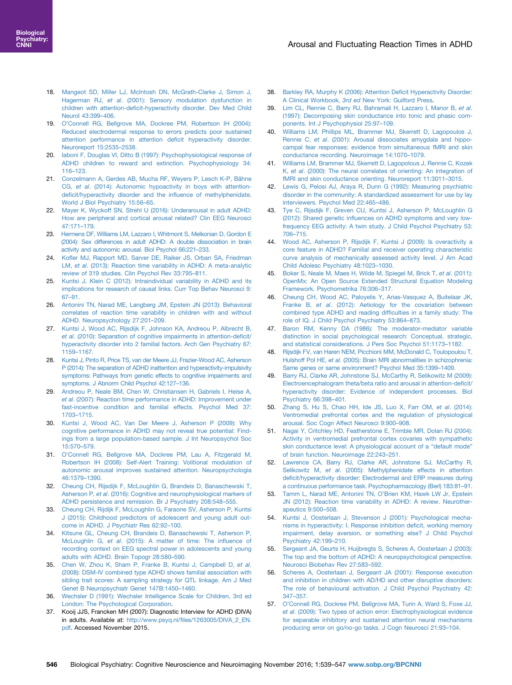- <span id="page-7-0"></span>18. [Mangeot SD, Miller LJ, McIntosh DN, McGrath-Clarke J, Simon J,](http://refhub.elsevier.com/S2451-9022(16)30068-4/sbref18) Hagerman RJ, et al[. \(2001\): Sensory modulation dysfunction in](http://refhub.elsevier.com/S2451-9022(16)30068-4/sbref18) children with attention-defi[cit-hyperactivity disorder. Dev Med Child](http://refhub.elsevier.com/S2451-9022(16)30068-4/sbref18) [Neurol 43:399](http://refhub.elsevier.com/S2451-9022(16)30068-4/sbref18)–406.
- 19. O'[Connell RG, Bellgrove MA, Dockree PM, Robertson IH \(2004\):](http://refhub.elsevier.com/S2451-9022(16)30068-4/sbref19) [Reduced electrodermal response to errors predicts poor sustained](http://refhub.elsevier.com/S2451-9022(16)30068-4/sbref19) [attention performance in attention de](http://refhub.elsevier.com/S2451-9022(16)30068-4/sbref19)ficit hyperactivity disorder. [Neuroreport 15:2535](http://refhub.elsevier.com/S2451-9022(16)30068-4/sbref19)–2538.
- 20. [Iaboni F, Douglas VI, Ditto B \(1997\): Psychophysiological response of](http://refhub.elsevier.com/S2451-9022(16)30068-4/sbref20) [ADHD children to reward and extinction. Psychophysiology 34:](http://refhub.elsevier.com/S2451-9022(16)30068-4/sbref20) 116–[123.](http://refhub.elsevier.com/S2451-9022(16)30068-4/sbref20)
- 21. [Conzelmann A, Gerdes AB, Mucha RF, Weyers P, Lesch K-P, Bähne](http://refhub.elsevier.com/S2451-9022(16)30068-4/sbref21) CG, et al[. \(2014\): Autonomic hypoactivity in boys with attention](http://refhub.elsevier.com/S2451-9022(16)30068-4/sbref21)defi[cit/hyperactivity disorder and the in](http://refhub.elsevier.com/S2451-9022(16)30068-4/sbref21)fluence of methylphenidate. [World J Biol Psychiatry 15:56](http://refhub.elsevier.com/S2451-9022(16)30068-4/sbref21)–65.
- 22. [Mayer K, Wyckoff SN, Strehl U \(2016\): Underarousal in adult ADHD:](http://refhub.elsevier.com/S2451-9022(16)30068-4/sbref22) [How are peripheral and cortical arousal related? Clin EEG Neurosci](http://refhub.elsevier.com/S2451-9022(16)30068-4/sbref22) [47:171](http://refhub.elsevier.com/S2451-9022(16)30068-4/sbref22)–179.
- 23. [Hermens DF, Williams LM, Lazzaro I, Whitmont S, Melkonian D, Gordon E](http://refhub.elsevier.com/S2451-9022(16)30068-4/sbref23) [\(2004\): Sex differences in adult ADHD: A double dissociation in brain](http://refhub.elsevier.com/S2451-9022(16)30068-4/sbref23) [activity and autonomic arousal. Biol Psychol 66:221](http://refhub.elsevier.com/S2451-9022(16)30068-4/sbref23)–233.
- 24. Kofl[er MJ, Rapport MD, Sarver DE, Raiker JS, Orban SA, Friedman](http://refhub.elsevier.com/S2451-9022(16)30068-4/sbref24) LM, et al[. \(2013\): Reaction time variability in ADHD: A meta-analytic](http://refhub.elsevier.com/S2451-9022(16)30068-4/sbref24) [review of 319 studies. Clin Psychol Rev 33:795](http://refhub.elsevier.com/S2451-9022(16)30068-4/sbref24)–811.
- 25. [Kuntsi J, Klein C \(2012\): Intraindividual variability in ADHD and its](http://refhub.elsevier.com/S2451-9022(16)30068-4/sbref25) [implications for research of causal links. Curr Top Behav Neurosci 9:](http://refhub.elsevier.com/S2451-9022(16)30068-4/sbref25) 67–[91.](http://refhub.elsevier.com/S2451-9022(16)30068-4/sbref25)
- 26. [Antonini TN, Narad ME, Langberg JM, Epstein JN \(2013\): Behavioral](http://refhub.elsevier.com/S2451-9022(16)30068-4/sbref26) [correlates of reaction time variability in children with and without](http://refhub.elsevier.com/S2451-9022(16)30068-4/sbref26) [ADHD. Neuropsychology 27:201](http://refhub.elsevier.com/S2451-9022(16)30068-4/sbref26)–209.
- 27. [Kuntsi J, Wood AC, Rijsdijk F, Johnson KA, Andreou P, Albrecht B,](http://refhub.elsevier.com/S2451-9022(16)30068-4/sbref27) et al[. \(2010\): Separation of cognitive impairments in attention-de](http://refhub.elsevier.com/S2451-9022(16)30068-4/sbref27)ficit/ [hyperactivity disorder into 2 familial factors. Arch Gen Psychiatry 67:](http://refhub.elsevier.com/S2451-9022(16)30068-4/sbref27) 1159–[1167.](http://refhub.elsevier.com/S2451-9022(16)30068-4/sbref27)
- 28. [Kuntsi J, Pinto R, Price TS, van der Meere JJ, Frazier-Wood AC, Asherson](http://refhub.elsevier.com/S2451-9022(16)30068-4/sbref28) [P \(2014\): The separation of ADHD inattention and hyperactivity-impulsivity](http://refhub.elsevier.com/S2451-9022(16)30068-4/sbref28) [symptoms: Pathways from genetic effects to cognitive impairments and](http://refhub.elsevier.com/S2451-9022(16)30068-4/sbref28) [symptoms. J Abnorm Child Psychol 42:127](http://refhub.elsevier.com/S2451-9022(16)30068-4/sbref28)–136.
- 29. [Andreou P, Neale BM, Chen W, Christiansen H, Gabriels I, Heise A,](http://refhub.elsevier.com/S2451-9022(16)30068-4/sbref29) et al[. \(2007\): Reaction time performance in ADHD: Improvement under](http://refhub.elsevier.com/S2451-9022(16)30068-4/sbref29) [fast-incentive condition and familial effects. Psychol Med 37:](http://refhub.elsevier.com/S2451-9022(16)30068-4/sbref29) 1703–[1715.](http://refhub.elsevier.com/S2451-9022(16)30068-4/sbref29)
- 30. [Kuntsi J, Wood AC, Van Der Meere J, Asherson P \(2009\): Why](http://refhub.elsevier.com/S2451-9022(16)30068-4/sbref30) [cognitive performance in ADHD may not reveal true potential: Find](http://refhub.elsevier.com/S2451-9022(16)30068-4/sbref30)[ings from a large population-based sample. J Int Neuropsychol Soc](http://refhub.elsevier.com/S2451-9022(16)30068-4/sbref30) [15:570](http://refhub.elsevier.com/S2451-9022(16)30068-4/sbref30)–579.
- 31. O'[Connell RG, Bellgrove MA, Dockree PM, Lau A, Fitzgerald M,](http://refhub.elsevier.com/S2451-9022(16)30068-4/sbref31) [Robertson IH \(2008\): Self-Alert Training: Volitional modulation of](http://refhub.elsevier.com/S2451-9022(16)30068-4/sbref31) [autonomic arousal improves sustained attention. Neuropsychologia](http://refhub.elsevier.com/S2451-9022(16)30068-4/sbref31) [46:1379](http://refhub.elsevier.com/S2451-9022(16)30068-4/sbref31)–1390.
- 32. [Cheung CH, Rijsdijk F, McLoughlin G, Brandeis D, Banaschewski T,](http://refhub.elsevier.com/S2451-9022(16)30068-4/sbref32) Asherson P, et al[. \(2016\): Cognitive and neurophysiological markers of](http://refhub.elsevier.com/S2451-9022(16)30068-4/sbref32) [ADHD persistence and remission. Br J Psychiatry 208:548](http://refhub.elsevier.com/S2451-9022(16)30068-4/sbref32)–555.
- 33. [Cheung CH, Rijdijk F, McLoughlin G, Faraone SV, Asherson P, Kuntsi](http://refhub.elsevier.com/S2451-9022(16)30068-4/sbref33) [J \(2015\): Childhood predictors of adolescent and young adult out](http://refhub.elsevier.com/S2451-9022(16)30068-4/sbref33)[come in ADHD. J Psychiatr Res 62:92](http://refhub.elsevier.com/S2451-9022(16)30068-4/sbref33)–100.
- 34. [Kitsune GL, Cheung CH, Brandeis D, Banaschewski T, Asherson P,](http://refhub.elsevier.com/S2451-9022(16)30068-4/sbref34) McLoughlin G, et al[. \(2015\): A matter of time: The in](http://refhub.elsevier.com/S2451-9022(16)30068-4/sbref34)fluence of [recording context on EEG spectral power in adolescents and young](http://refhub.elsevier.com/S2451-9022(16)30068-4/sbref34) [adults with ADHD. Brain Topogr 28:580](http://refhub.elsevier.com/S2451-9022(16)30068-4/sbref34)–590.
- 35. [Chen W, Zhou K, Sham P, Franke B, Kuntsi J, Campbell D,](http://refhub.elsevier.com/S2451-9022(16)30068-4/sbref35) et al. [\(2008\): DSM-IV combined type ADHD shows familial association with](http://refhub.elsevier.com/S2451-9022(16)30068-4/sbref35) [sibling trait scores: A sampling strategy for QTL linkage. Am J Med](http://refhub.elsevier.com/S2451-9022(16)30068-4/sbref35) [Genet B Neuropsychiatr Genet 147B:1450](http://refhub.elsevier.com/S2451-9022(16)30068-4/sbref35)–1460.
- 36. [Wechsler D \(1991\): Wechsler Intelligence Scale for Children, 3rd ed](http://refhub.elsevier.com/S2451-9022(16)30068-4/sbref36) [London: The Psychological Corporation.](http://refhub.elsevier.com/S2451-9022(16)30068-4/sbref36)
- 37. Kooij JJS, Francken MH (2007): Diagnostic Interview for ADHD (DIVA) in adults. Available at: http://www.psyq.nl/fi[les/1263005/DIVA\\_2\\_EN.](http://www.psyq.nl/files/1263005/DIVA_2_EN.pdf) [pdf.](http://www.psyq.nl/files/1263005/DIVA_2_EN.pdf) Accessed November 2015.
- 38. [Barkley RA, Murphy K \(2006\): Attention De](http://refhub.elsevier.com/S2451-9022(16)30068-4/sbref37)ficit Hyperactivity Disorder: A Clinical Workbook, 3rd ed [New York: Guilford Press.](http://refhub.elsevier.com/S2451-9022(16)30068-4/sbref37)
- 39. [Lim CL, Rennie C, Barry RJ, Bahramali H, Lazzaro I, Manor B,](http://refhub.elsevier.com/S2451-9022(16)30068-4/sbref38) et al. [\(1997\): Decomposing skin conductance into tonic and phasic com](http://refhub.elsevier.com/S2451-9022(16)30068-4/sbref38)[ponents. Int J Psychophysiol 25:97](http://refhub.elsevier.com/S2451-9022(16)30068-4/sbref38)–109.
- 40. [Williams LM, Phillips ML, Brammer MJ, Skerrett D, Lagopoulos J,](http://refhub.elsevier.com/S2451-9022(16)30068-4/sbref39) Rennie C, et al[. \(2001\): Arousal dissociates amygdala and hippo](http://refhub.elsevier.com/S2451-9022(16)30068-4/sbref39)[campal fear responses: evidence from simultaneous fMRI and skin](http://refhub.elsevier.com/S2451-9022(16)30068-4/sbref39) [conductance recording. Neuroimage 14:1070](http://refhub.elsevier.com/S2451-9022(16)30068-4/sbref39)–1079.
- 41. [Williams LM, Brammer MJ, Skerrett D, Lagopolous J, Rennie C, Kozek](http://refhub.elsevier.com/S2451-9022(16)30068-4/sbref40) K, et al[. \(2000\): The neural correlates of orienting: An integration of](http://refhub.elsevier.com/S2451-9022(16)30068-4/sbref40) [fMRI and skin conductance orienting. Neuroreport 11:3011](http://refhub.elsevier.com/S2451-9022(16)30068-4/sbref40)–3015.
- 42. [Lewis G, Pelosi AJ, Araya R, Dunn G \(1992\): Measuring psychiatric](http://refhub.elsevier.com/S2451-9022(16)30068-4/sbref41) [disorder in the community: A standardized assessment for use by lay](http://refhub.elsevier.com/S2451-9022(16)30068-4/sbref41) [interviewers. Psychol Med 22:465](http://refhub.elsevier.com/S2451-9022(16)30068-4/sbref41)–486.
- 43. [Tye C, Rijsdijk F, Greven CU, Kuntsi J, Asherson P, McLoughlin G](http://refhub.elsevier.com/S2451-9022(16)30068-4/sbref42) (2012): Shared genetic infl[uences on ADHD symptoms and very low](http://refhub.elsevier.com/S2451-9022(16)30068-4/sbref42)[frequency EEG activity: A twin study. J Child Psychol Psychiatry 53:](http://refhub.elsevier.com/S2451-9022(16)30068-4/sbref42) 706–[715.](http://refhub.elsevier.com/S2451-9022(16)30068-4/sbref42)
- 44. [Wood AC, Asherson P, Rijsdijk F, Kuntsi J \(2009\): Is overactivity a](http://refhub.elsevier.com/S2451-9022(16)30068-4/sbref43) [core feature in ADHD? Familial and receiver operating characteristic](http://refhub.elsevier.com/S2451-9022(16)30068-4/sbref43) [curve analysis of mechanically assessed activity level. J Am Acad](http://refhub.elsevier.com/S2451-9022(16)30068-4/sbref43) [Child Adolesc Psychiatry 48:1023](http://refhub.elsevier.com/S2451-9022(16)30068-4/sbref43)–1030.
- 45. [Boker S, Neale M, Maes H, Wilde M, Spiegel M, Brick T,](http://refhub.elsevier.com/S2451-9022(16)30068-4/sbref44) et al. (2011): [OpenMx: An Open Source Extended Structural Equation Modeling](http://refhub.elsevier.com/S2451-9022(16)30068-4/sbref44) [Framework. Psychometrika 76:306](http://refhub.elsevier.com/S2451-9022(16)30068-4/sbref44)–317.
- 46. [Cheung CH, Wood AC, Paloyelis Y, Arias-Vasquez A, Buitelaar JK,](http://refhub.elsevier.com/S2451-9022(16)30068-4/sbref45) Franke B, et al[. \(2012\): Aetiology for the covariation between](http://refhub.elsevier.com/S2451-9022(16)30068-4/sbref45) [combined type ADHD and reading dif](http://refhub.elsevier.com/S2451-9022(16)30068-4/sbref45)ficulties in a family study: The [role of IQ. J Child Psychol Psychiatry 53:864](http://refhub.elsevier.com/S2451-9022(16)30068-4/sbref45)–873.
- [Baron RM, Kenny DA \(1986\): The moderator-mediator variable](http://refhub.elsevier.com/S2451-9022(16)30068-4/sbref46) [distinction in social psychological research: Conceptual, strategic,](http://refhub.elsevier.com/S2451-9022(16)30068-4/sbref46) [and statistical considerations. J Pers Soc Psychol 51:1173](http://refhub.elsevier.com/S2451-9022(16)30068-4/sbref46)–1182.
- 48. [Rijsdijk FV, van Haren NEM, Picchioni MM, McDonald C, Toulopoulou T,](http://refhub.elsevier.com/S2451-9022(16)30068-4/sbref47) Hulshoff Pol HE, et al[. \(2005\): Brain MRI abnormalities in schizophrenia:](http://refhub.elsevier.com/S2451-9022(16)30068-4/sbref47) [Same genes or same environment? Psychol Med 35:1399](http://refhub.elsevier.com/S2451-9022(16)30068-4/sbref47)–1409.
- 49. [Barry RJ, Clarke AR, Johnstone SJ, McCarthy R, Selikowitz M \(2009\):](http://refhub.elsevier.com/S2451-9022(16)30068-4/sbref48) [Electroencephalogram theta/beta ratio and arousal in attention-de](http://refhub.elsevier.com/S2451-9022(16)30068-4/sbref48)ficit/ [hyperactivity disorder: Evidence of independent processes. Biol](http://refhub.elsevier.com/S2451-9022(16)30068-4/sbref48) [Psychiatry 66:398](http://refhub.elsevier.com/S2451-9022(16)30068-4/sbref48)–401.
- 50. [Zhang S, Hu S, Chao HH, Ide JS, Luo X, Farr OM,](http://refhub.elsevier.com/S2451-9022(16)30068-4/sbref49) et al. (2014): [Ventromedial prefrontal cortex and the regulation of physiological](http://refhub.elsevier.com/S2451-9022(16)30068-4/sbref49) [arousal. Soc Cogn Affect Neurosci 9:900](http://refhub.elsevier.com/S2451-9022(16)30068-4/sbref49)–908.
- 51. [Nagai Y, Critchley HD, Featherstone E, Trimble MR, Dolan RJ \(2004\):](http://refhub.elsevier.com/S2451-9022(16)30068-4/sbref50) [Activity in ventromedial prefrontal cortex covaries with sympathetic](http://refhub.elsevier.com/S2451-9022(16)30068-4/sbref50) [skin conductance level: A physiological account of a](http://refhub.elsevier.com/S2451-9022(16)30068-4/sbref50) "default mode" [of brain function. Neuroimage 22:243](http://refhub.elsevier.com/S2451-9022(16)30068-4/sbref50)–251.
- 52. [Lawrence CA, Barry RJ, Clarke AR, Johnstone SJ, McCarthy R,](http://refhub.elsevier.com/S2451-9022(16)30068-4/sbref51) Selikowitz M, et al[. \(2005\): Methylphenidate effects in attention](http://refhub.elsevier.com/S2451-9022(16)30068-4/sbref51) defi[cit/hyperactivity disorder: Electrodermal and ERP measures during](http://refhub.elsevier.com/S2451-9022(16)30068-4/sbref51) [a continuous performance task. Psychopharmacology \(Berl\) 183:81](http://refhub.elsevier.com/S2451-9022(16)30068-4/sbref51)–91.
- 53. [Tamm L, Narad ME, Antonini TN, O](http://refhub.elsevier.com/S2451-9022(16)30068-4/sbref52)'Brien KM, Hawk LW Jr, Epstein [JN \(2012\): Reaction time variability in ADHD: A review. Neurother](http://refhub.elsevier.com/S2451-9022(16)30068-4/sbref52)[apeutics 9:500](http://refhub.elsevier.com/S2451-9022(16)30068-4/sbref52)–508.
- 54. [Kuntsi J, Oosterlaan J, Stevenson J \(2001\): Psychological mecha](http://refhub.elsevier.com/S2451-9022(16)30068-4/sbref53)[nisms in hyperactivity: I. Response inhibition de](http://refhub.elsevier.com/S2451-9022(16)30068-4/sbref53)ficit, working memory [impairment, delay aversion, or something else? J Child Psychol](http://refhub.elsevier.com/S2451-9022(16)30068-4/sbref53) [Psychiatry 42:199](http://refhub.elsevier.com/S2451-9022(16)30068-4/sbref53)–210.
- 55. [Sergeant JA, Geurts H, Huijbregts S, Scheres A, Oosterlaan J \(2003\):](http://refhub.elsevier.com/S2451-9022(16)30068-4/sbref54) [The top and the bottom of ADHD: A neuropsychological perspective.](http://refhub.elsevier.com/S2451-9022(16)30068-4/sbref54) [Neurosci Biobehav Rev 27:583](http://refhub.elsevier.com/S2451-9022(16)30068-4/sbref54)–592.
- 56. [Scheres A, Oosterlaan J, Sergeant JA \(2001\): Response execution](http://refhub.elsevier.com/S2451-9022(16)30068-4/sbref55) [and inhibition in children with AD/HD and other disruptive disorders:](http://refhub.elsevier.com/S2451-9022(16)30068-4/sbref55) [The role of behavioural activation. J Child Psychol Psychiatry 42:](http://refhub.elsevier.com/S2451-9022(16)30068-4/sbref55) 347–[357.](http://refhub.elsevier.com/S2451-9022(16)30068-4/sbref55)
- 57. O'[Connell RG, Dockree PM, Bellgrove MA, Turin A, Ward S, Foxe JJ,](http://refhub.elsevier.com/S2451-9022(16)30068-4/sbref56) et al[. \(2009\): Two types of action error: Electrophysiological evidence](http://refhub.elsevier.com/S2451-9022(16)30068-4/sbref56) [for separable inhibitory and sustained attention neural mechanisms](http://refhub.elsevier.com/S2451-9022(16)30068-4/sbref56) [producing error on go/no-go tasks. J Cogn Neurosci 21:93](http://refhub.elsevier.com/S2451-9022(16)30068-4/sbref56)–104.